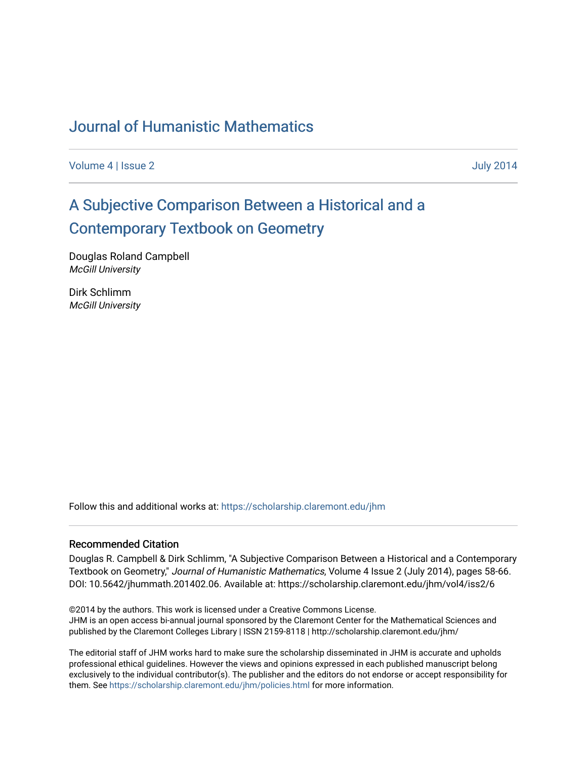# [Journal of Humanistic Mathematics](https://scholarship.claremont.edu/jhm)

[Volume 4](https://scholarship.claremont.edu/jhm/vol4) | [Issue 2](https://scholarship.claremont.edu/jhm/vol4/iss2) July 2014

# [A Subjective Comparison Between a Historical and a](https://scholarship.claremont.edu/jhm/vol4/iss2/6)  [Contemporary Textbook on Geometry](https://scholarship.claremont.edu/jhm/vol4/iss2/6)

Douglas Roland Campbell McGill University

Dirk Schlimm McGill University

Follow this and additional works at: [https://scholarship.claremont.edu/jhm](https://scholarship.claremont.edu/jhm?utm_source=scholarship.claremont.edu%2Fjhm%2Fvol4%2Fiss2%2F6&utm_medium=PDF&utm_campaign=PDFCoverPages)

#### Recommended Citation

Douglas R. Campbell & Dirk Schlimm, "A Subjective Comparison Between a Historical and a Contemporary Textbook on Geometry," Journal of Humanistic Mathematics, Volume 4 Issue 2 (July 2014), pages 58-66. DOI: 10.5642/jhummath.201402.06. Available at: https://scholarship.claremont.edu/jhm/vol4/iss2/6

©2014 by the authors. This work is licensed under a Creative Commons License. JHM is an open access bi-annual journal sponsored by the Claremont Center for the Mathematical Sciences and published by the Claremont Colleges Library | ISSN 2159-8118 | http://scholarship.claremont.edu/jhm/

The editorial staff of JHM works hard to make sure the scholarship disseminated in JHM is accurate and upholds professional ethical guidelines. However the views and opinions expressed in each published manuscript belong exclusively to the individual contributor(s). The publisher and the editors do not endorse or accept responsibility for them. See<https://scholarship.claremont.edu/jhm/policies.html> for more information.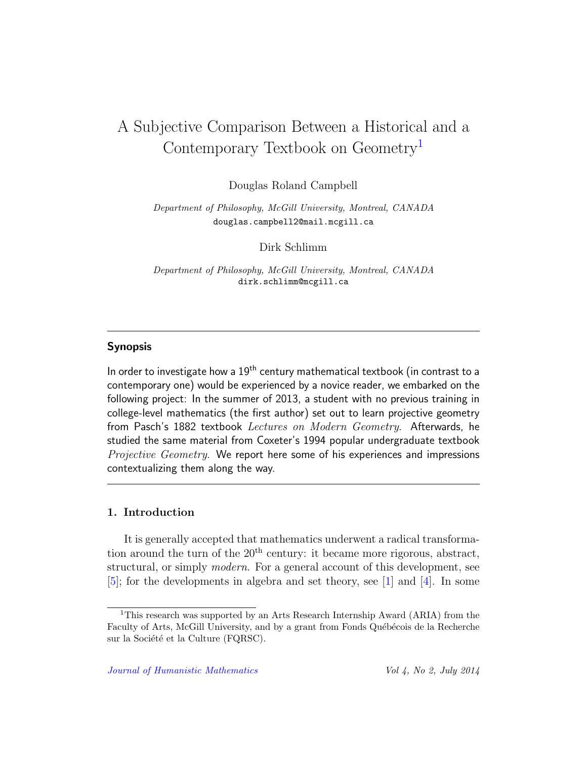# A Subjective Comparison Between a Historical and a Contemporary Textbook on Geometry[1](#page-1-0)

Douglas Roland Campbell

Department of Philosophy, McGill University, Montreal, CANADA douglas.campbell2@mail.mcgill.ca

Dirk Schlimm

Department of Philosophy, McGill University, Montreal, CANADA dirk.schlimm@mcgill.ca

### Synopsis

In order to investigate how a  $19<sup>th</sup>$  century mathematical textbook (in contrast to a contemporary one) would be experienced by a novice reader, we embarked on the following project: In the summer of 2013, a student with no previous training in college-level mathematics (the first author) set out to learn projective geometry from Pasch's 1882 textbook Lectures on Modern Geometry. Afterwards, he studied the same material from Coxeter's 1994 popular undergraduate textbook Projective Geometry. We report here some of his experiences and impressions contextualizing them along the way.

## 1. Introduction

It is generally accepted that mathematics underwent a radical transformation around the turn of the  $20<sup>th</sup>$  century: it became more rigorous, abstract, structural, or simply *modern*. For a general account of this development, see [\[5\]](#page-8-0); for the developments in algebra and set theory, see [\[1\]](#page-8-1) and [\[4\]](#page-8-2). In some

<span id="page-1-0"></span><sup>1</sup>This research was supported by an Arts Research Internship Award (ARIA) from the Faculty of Arts, McGill University, and by a grant from Fonds Québécois de la Recherche sur la Société et la Culture (FQRSC).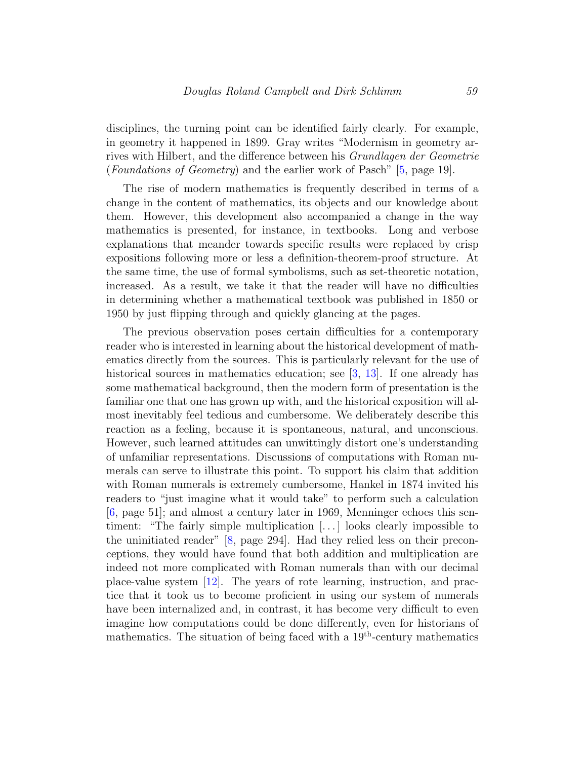disciplines, the turning point can be identified fairly clearly. For example, in geometry it happened in 1899. Gray writes "Modernism in geometry arrives with Hilbert, and the difference between his Grundlagen der Geometrie (Foundations of Geometry) and the earlier work of Pasch" [\[5,](#page-8-0) page 19].

The rise of modern mathematics is frequently described in terms of a change in the content of mathematics, its objects and our knowledge about them. However, this development also accompanied a change in the way mathematics is presented, for instance, in textbooks. Long and verbose explanations that meander towards specific results were replaced by crisp expositions following more or less a definition-theorem-proof structure. At the same time, the use of formal symbolisms, such as set-theoretic notation, increased. As a result, we take it that the reader will have no difficulties in determining whether a mathematical textbook was published in 1850 or 1950 by just flipping through and quickly glancing at the pages.

The previous observation poses certain difficulties for a contemporary reader who is interested in learning about the historical development of mathematics directly from the sources. This is particularly relevant for the use of historical sources in mathematics education; see [\[3,](#page-8-3) [13\]](#page-9-0). If one already has some mathematical background, then the modern form of presentation is the familiar one that one has grown up with, and the historical exposition will almost inevitably feel tedious and cumbersome. We deliberately describe this reaction as a feeling, because it is spontaneous, natural, and unconscious. However, such learned attitudes can unwittingly distort one's understanding of unfamiliar representations. Discussions of computations with Roman numerals can serve to illustrate this point. To support his claim that addition with Roman numerals is extremely cumbersome, Hankel in 1874 invited his readers to "just imagine what it would take" to perform such a calculation [\[6,](#page-8-4) page 51]; and almost a century later in 1969, Menninger echoes this sentiment: "The fairly simple multiplication [. . . ] looks clearly impossible to the uninitiated reader" [\[8,](#page-8-5) page 294]. Had they relied less on their preconceptions, they would have found that both addition and multiplication are indeed not more complicated with Roman numerals than with our decimal place-value system [\[12\]](#page-9-1). The years of rote learning, instruction, and practice that it took us to become proficient in using our system of numerals have been internalized and, in contrast, it has become very difficult to even imagine how computations could be done differently, even for historians of mathematics. The situation of being faced with a  $19<sup>th</sup>$ -century mathematics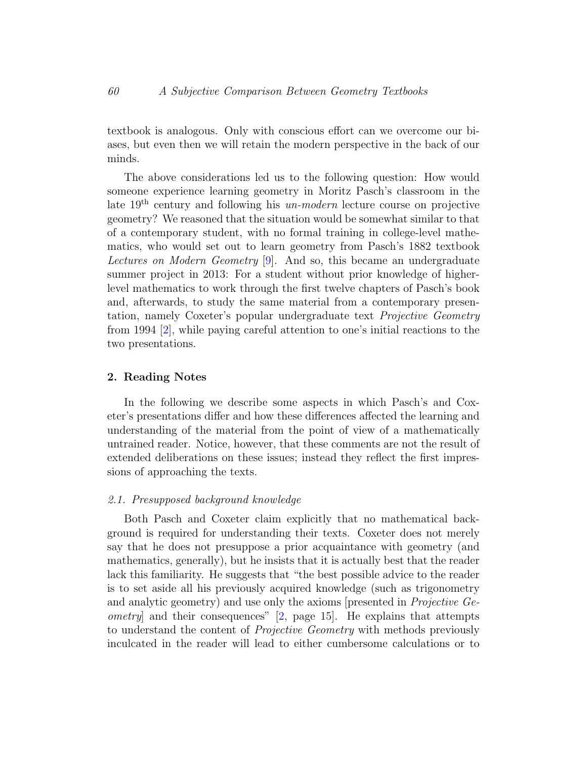textbook is analogous. Only with conscious effort can we overcome our biases, but even then we will retain the modern perspective in the back of our minds.

The above considerations led us to the following question: How would someone experience learning geometry in Moritz Pasch's classroom in the late 19th century and following his un-modern lecture course on projective geometry? We reasoned that the situation would be somewhat similar to that of a contemporary student, with no formal training in college-level mathematics, who would set out to learn geometry from Pasch's 1882 textbook Lectures on Modern Geometry [\[9\]](#page-8-6). And so, this became an undergraduate summer project in 2013: For a student without prior knowledge of higherlevel mathematics to work through the first twelve chapters of Pasch's book and, afterwards, to study the same material from a contemporary presentation, namely Coxeter's popular undergraduate text Projective Geometry from 1994 [\[2\]](#page-8-7), while paying careful attention to one's initial reactions to the two presentations.

#### 2. Reading Notes

In the following we describe some aspects in which Pasch's and Coxeter's presentations differ and how these differences affected the learning and understanding of the material from the point of view of a mathematically untrained reader. Notice, however, that these comments are not the result of extended deliberations on these issues; instead they reflect the first impressions of approaching the texts.

#### 2.1. Presupposed background knowledge

Both Pasch and Coxeter claim explicitly that no mathematical background is required for understanding their texts. Coxeter does not merely say that he does not presuppose a prior acquaintance with geometry (and mathematics, generally), but he insists that it is actually best that the reader lack this familiarity. He suggests that "the best possible advice to the reader is to set aside all his previously acquired knowledge (such as trigonometry and analytic geometry) and use only the axioms [presented in Projective Geometry] and their consequences" [\[2,](#page-8-7) page 15]. He explains that attempts to understand the content of Projective Geometry with methods previously inculcated in the reader will lead to either cumbersome calculations or to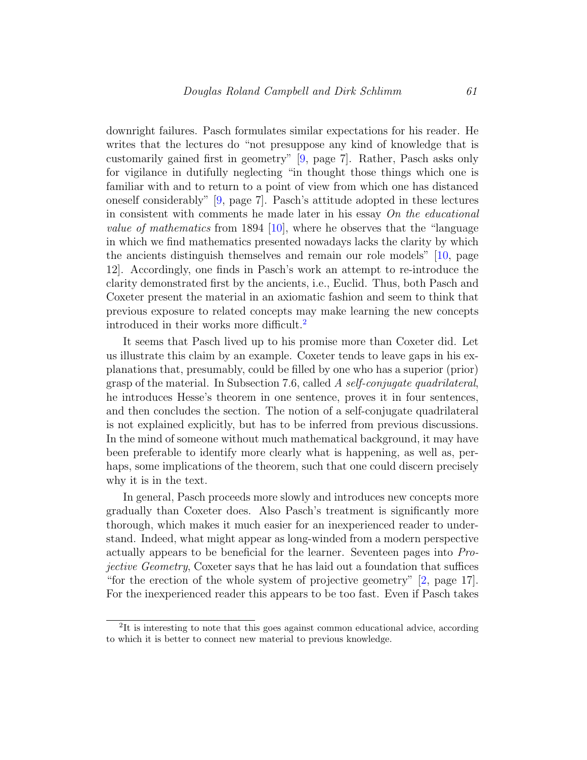downright failures. Pasch formulates similar expectations for his reader. He writes that the lectures do "not presuppose any kind of knowledge that is customarily gained first in geometry" [\[9,](#page-8-6) page 7]. Rather, Pasch asks only for vigilance in dutifully neglecting "in thought those things which one is familiar with and to return to a point of view from which one has distanced oneself considerably" [\[9,](#page-8-6) page 7]. Pasch's attitude adopted in these lectures in consistent with comments he made later in his essay  $On$  the educational *value of mathematics* from 1894 [\[10\]](#page-8-8), where he observes that the "language" in which we find mathematics presented nowadays lacks the clarity by which the ancients distinguish themselves and remain our role models" [\[10,](#page-8-8) page 12]. Accordingly, one finds in Pasch's work an attempt to re-introduce the clarity demonstrated first by the ancients, i.e., Euclid. Thus, both Pasch and Coxeter present the material in an axiomatic fashion and seem to think that previous exposure to related concepts may make learning the new concepts introduced in their works more difficult.[2](#page-4-0)

It seems that Pasch lived up to his promise more than Coxeter did. Let us illustrate this claim by an example. Coxeter tends to leave gaps in his explanations that, presumably, could be filled by one who has a superior (prior) grasp of the material. In Subsection 7.6, called A self-conjugate quadrilateral, he introduces Hesse's theorem in one sentence, proves it in four sentences, and then concludes the section. The notion of a self-conjugate quadrilateral is not explained explicitly, but has to be inferred from previous discussions. In the mind of someone without much mathematical background, it may have been preferable to identify more clearly what is happening, as well as, perhaps, some implications of the theorem, such that one could discern precisely why it is in the text.

In general, Pasch proceeds more slowly and introduces new concepts more gradually than Coxeter does. Also Pasch's treatment is significantly more thorough, which makes it much easier for an inexperienced reader to understand. Indeed, what might appear as long-winded from a modern perspective actually appears to be beneficial for the learner. Seventeen pages into Projective Geometry, Coxeter says that he has laid out a foundation that suffices "for the erection of the whole system of projective geometry" [\[2,](#page-8-7) page 17]. For the inexperienced reader this appears to be too fast. Even if Pasch takes

<span id="page-4-0"></span><sup>&</sup>lt;sup>2</sup>It is interesting to note that this goes against common educational advice, according to which it is better to connect new material to previous knowledge.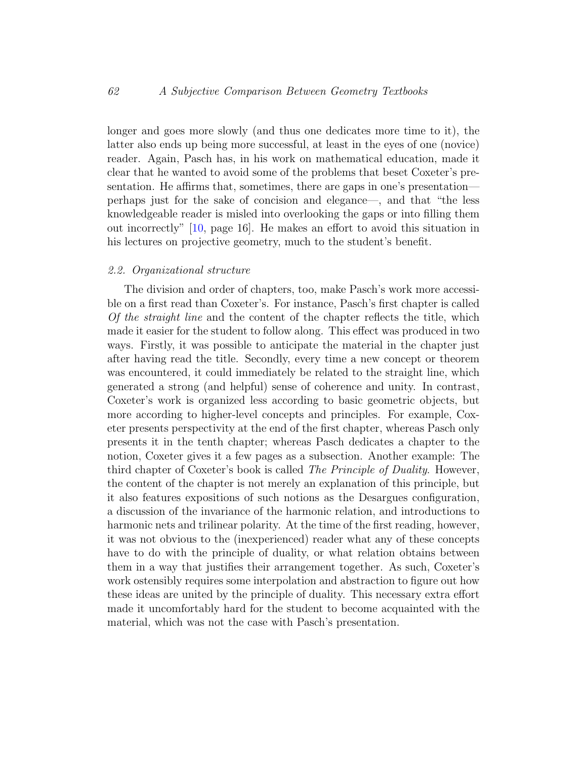longer and goes more slowly (and thus one dedicates more time to it), the latter also ends up being more successful, at least in the eyes of one (novice) reader. Again, Pasch has, in his work on mathematical education, made it clear that he wanted to avoid some of the problems that beset Coxeter's presentation. He affirms that, sometimes, there are gaps in one's presentation perhaps just for the sake of concision and elegance—, and that "the less knowledgeable reader is misled into overlooking the gaps or into filling them out incorrectly" [\[10,](#page-8-8) page 16]. He makes an effort to avoid this situation in his lectures on projective geometry, much to the student's benefit.

### 2.2. Organizational structure

The division and order of chapters, too, make Pasch's work more accessible on a first read than Coxeter's. For instance, Pasch's first chapter is called Of the straight line and the content of the chapter reflects the title, which made it easier for the student to follow along. This effect was produced in two ways. Firstly, it was possible to anticipate the material in the chapter just after having read the title. Secondly, every time a new concept or theorem was encountered, it could immediately be related to the straight line, which generated a strong (and helpful) sense of coherence and unity. In contrast, Coxeter's work is organized less according to basic geometric objects, but more according to higher-level concepts and principles. For example, Coxeter presents perspectivity at the end of the first chapter, whereas Pasch only presents it in the tenth chapter; whereas Pasch dedicates a chapter to the notion, Coxeter gives it a few pages as a subsection. Another example: The third chapter of Coxeter's book is called The Principle of Duality. However, the content of the chapter is not merely an explanation of this principle, but it also features expositions of such notions as the Desargues configuration, a discussion of the invariance of the harmonic relation, and introductions to harmonic nets and trilinear polarity. At the time of the first reading, however, it was not obvious to the (inexperienced) reader what any of these concepts have to do with the principle of duality, or what relation obtains between them in a way that justifies their arrangement together. As such, Coxeter's work ostensibly requires some interpolation and abstraction to figure out how these ideas are united by the principle of duality. This necessary extra effort made it uncomfortably hard for the student to become acquainted with the material, which was not the case with Pasch's presentation.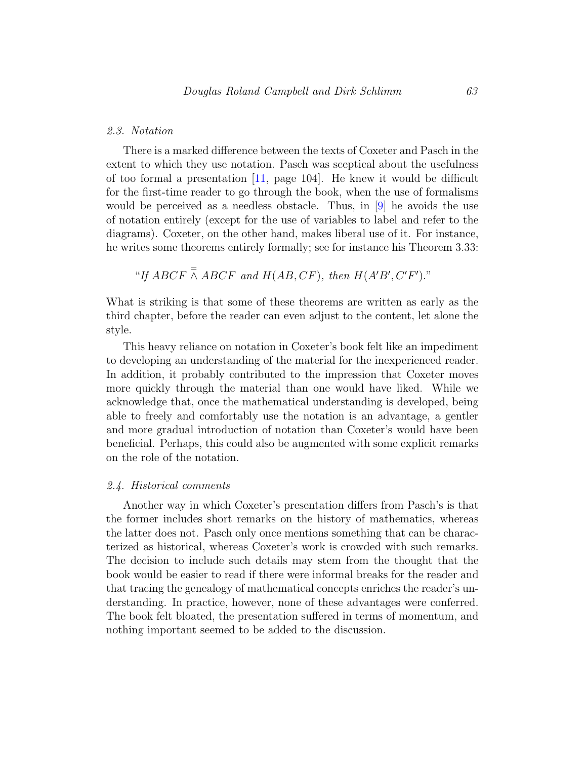#### 2.3. Notation

There is a marked difference between the texts of Coxeter and Pasch in the extent to which they use notation. Pasch was sceptical about the usefulness of too formal a presentation [\[11,](#page-9-2) page 104]. He knew it would be difficult for the first-time reader to go through the book, when the use of formalisms would be perceived as a needless obstacle. Thus, in [\[9\]](#page-8-6) he avoids the use of notation entirely (except for the use of variables to label and refer to the diagrams). Coxeter, on the other hand, makes liberal use of it. For instance, he writes some theorems entirely formally; see for instance his Theorem 3.33:

"If ABCF  $\overline{\wedge}$  ABCF and H(AB, CF), then H(A'B', C'F')."

What is striking is that some of these theorems are written as early as the third chapter, before the reader can even adjust to the content, let alone the style.

This heavy reliance on notation in Coxeter's book felt like an impediment to developing an understanding of the material for the inexperienced reader. In addition, it probably contributed to the impression that Coxeter moves more quickly through the material than one would have liked. While we acknowledge that, once the mathematical understanding is developed, being able to freely and comfortably use the notation is an advantage, a gentler and more gradual introduction of notation than Coxeter's would have been beneficial. Perhaps, this could also be augmented with some explicit remarks on the role of the notation.

#### 2.4. Historical comments

Another way in which Coxeter's presentation differs from Pasch's is that the former includes short remarks on the history of mathematics, whereas the latter does not. Pasch only once mentions something that can be characterized as historical, whereas Coxeter's work is crowded with such remarks. The decision to include such details may stem from the thought that the book would be easier to read if there were informal breaks for the reader and that tracing the genealogy of mathematical concepts enriches the reader's understanding. In practice, however, none of these advantages were conferred. The book felt bloated, the presentation suffered in terms of momentum, and nothing important seemed to be added to the discussion.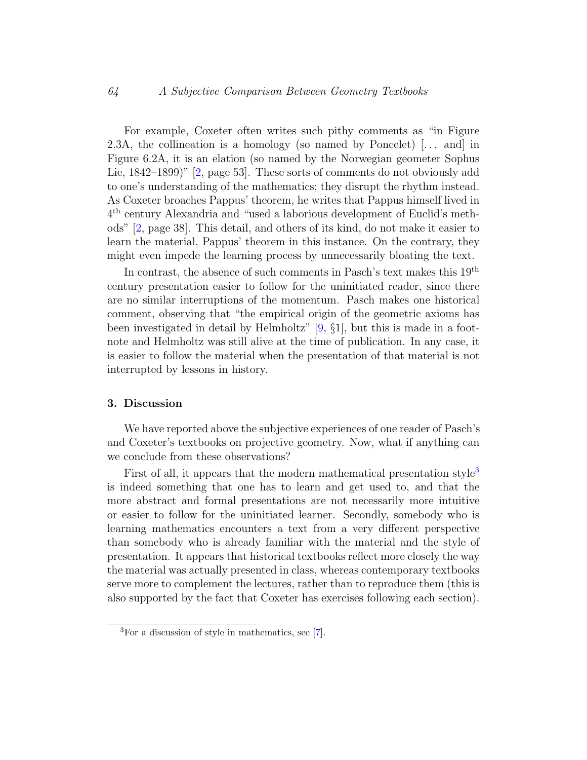#### 64 A Subjective Comparison Between Geometry Textbooks

For example, Coxeter often writes such pithy comments as "in Figure 2.3A, the collineation is a homology (so named by Poncelet)  $[\dots]$  and in Figure 6.2A, it is an elation (so named by the Norwegian geometer Sophus Lie, 1842–1899)" [\[2,](#page-8-7) page 53]. These sorts of comments do not obviously add to one's understanding of the mathematics; they disrupt the rhythm instead. As Coxeter broaches Pappus' theorem, he writes that Pappus himself lived in 4 th century Alexandria and "used a laborious development of Euclid's methods" [\[2,](#page-8-7) page 38]. This detail, and others of its kind, do not make it easier to learn the material, Pappus' theorem in this instance. On the contrary, they might even impede the learning process by unnecessarily bloating the text.

In contrast, the absence of such comments in Pasch's text makes this 19<sup>th</sup> century presentation easier to follow for the uninitiated reader, since there are no similar interruptions of the momentum. Pasch makes one historical comment, observing that "the empirical origin of the geometric axioms has been investigated in detail by Helmholtz"  $[9, \S1]$  $[9, \S1]$ , but this is made in a footnote and Helmholtz was still alive at the time of publication. In any case, it is easier to follow the material when the presentation of that material is not interrupted by lessons in history.

#### 3. Discussion

We have reported above the subjective experiences of one reader of Pasch's and Coxeter's textbooks on projective geometry. Now, what if anything can we conclude from these observations?

First of all, it appears that the modern mathematical presentation style<sup>[3](#page-7-0)</sup> is indeed something that one has to learn and get used to, and that the more abstract and formal presentations are not necessarily more intuitive or easier to follow for the uninitiated learner. Secondly, somebody who is learning mathematics encounters a text from a very different perspective than somebody who is already familiar with the material and the style of presentation. It appears that historical textbooks reflect more closely the way the material was actually presented in class, whereas contemporary textbooks serve more to complement the lectures, rather than to reproduce them (this is also supported by the fact that Coxeter has exercises following each section).

<span id="page-7-0"></span><sup>3</sup>For a discussion of style in mathematics, see [\[7\]](#page-8-9).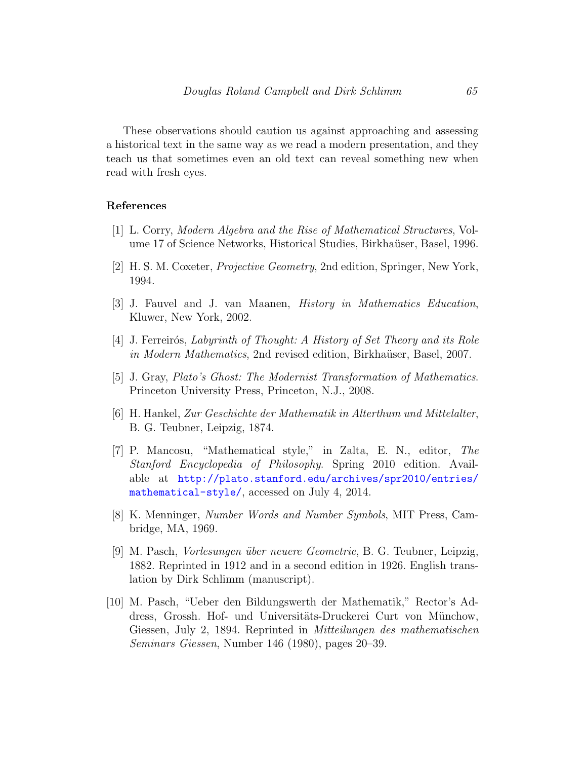These observations should caution us against approaching and assessing a historical text in the same way as we read a modern presentation, and they teach us that sometimes even an old text can reveal something new when read with fresh eyes.

#### References

- <span id="page-8-1"></span>[1] L. Corry, Modern Algebra and the Rise of Mathematical Structures, Volume 17 of Science Networks, Historical Studies, Birkhaüser, Basel, 1996.
- <span id="page-8-7"></span>[2] H. S. M. Coxeter, Projective Geometry, 2nd edition, Springer, New York, 1994.
- <span id="page-8-3"></span>[3] J. Fauvel and J. van Maanen, History in Mathematics Education, Kluwer, New York, 2002.
- <span id="page-8-2"></span>[4] J. Ferreirós, *Labyrinth of Thought: A History of Set Theory and its Role* in Modern Mathematics, 2nd revised edition, Birkhaüser, Basel, 2007.
- <span id="page-8-0"></span>[5] J. Gray, Plato's Ghost: The Modernist Transformation of Mathematics. Princeton University Press, Princeton, N.J., 2008.
- <span id="page-8-4"></span>[6] H. Hankel, Zur Geschichte der Mathematik in Alterthum und Mittelalter, B. G. Teubner, Leipzig, 1874.
- <span id="page-8-9"></span>[7] P. Mancosu, "Mathematical style," in Zalta, E. N., editor, The Stanford Encyclopedia of Philosophy. Spring 2010 edition. Available at [http://plato.stanford.edu/archives/spr2010/entries/](http://plato.stanford.edu/archives/ spr2010/entries/mathematical-style/) [mathematical-style/](http://plato.stanford.edu/archives/ spr2010/entries/mathematical-style/), accessed on July 4, 2014.
- <span id="page-8-5"></span>[8] K. Menninger, Number Words and Number Symbols, MIT Press, Cambridge, MA, 1969.
- <span id="page-8-6"></span>[9] M. Pasch, Vorlesungen ¨uber neuere Geometrie, B. G. Teubner, Leipzig, 1882. Reprinted in 1912 and in a second edition in 1926. English translation by Dirk Schlimm (manuscript).
- <span id="page-8-8"></span>[10] M. Pasch, "Ueber den Bildungswerth der Mathematik," Rector's Address, Grossh. Hof- und Universitäts-Druckerei Curt von Münchow, Giessen, July 2, 1894. Reprinted in Mitteilungen des mathematischen Seminars Giessen, Number 146 (1980), pages 20–39.